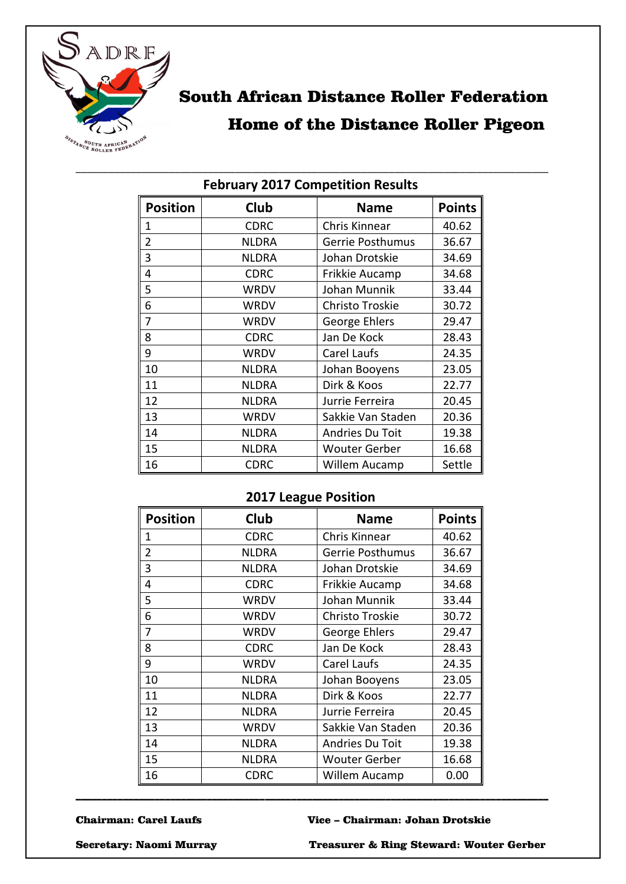

# South African Distance Roller Federation

## Home of the Distance Roller Pigeon

| I CDI Gai y ZUITZ COMPETITION NESURS |              |                      |               |
|--------------------------------------|--------------|----------------------|---------------|
| <b>Position</b>                      | <b>Club</b>  | <b>Name</b>          | <b>Points</b> |
| 1                                    | <b>CDRC</b>  | <b>Chris Kinnear</b> | 40.62         |
| $\overline{2}$                       | <b>NLDRA</b> | Gerrie Posthumus     | 36.67         |
| $\overline{\mathbf{3}}$              | <b>NLDRA</b> | Johan Drotskie       | 34.69         |
| 4                                    | <b>CDRC</b>  | Frikkie Aucamp       | 34.68         |
| 5                                    | <b>WRDV</b>  | Johan Munnik         | 33.44         |
| 6                                    | <b>WRDV</b>  | Christo Troskie      | 30.72         |
| $\overline{7}$                       | <b>WRDV</b>  | George Ehlers        | 29.47         |
| 8                                    | <b>CDRC</b>  | Jan De Kock          | 28.43         |
| 9                                    | <b>WRDV</b>  | Carel Laufs          | 24.35         |
| 10                                   | <b>NLDRA</b> | Johan Booyens        | 23.05         |
| 11                                   | <b>NLDRA</b> | Dirk & Koos          | 22.77         |
| 12                                   | <b>NLDRA</b> | Jurrie Ferreira      | 20.45         |
| 13                                   | <b>WRDV</b>  | Sakkie Van Staden    | 20.36         |
| 14                                   | <b>NLDRA</b> | Andries Du Toit      | 19.38         |
| 15                                   | <b>NLDRA</b> | <b>Wouter Gerber</b> | 16.68         |
| 16                                   | <b>CDRC</b>  | Willem Aucamp        | Settle        |

## \_\_\_\_\_\_\_\_\_\_\_\_\_\_\_\_\_\_\_\_\_\_\_\_\_\_\_\_\_\_\_\_\_\_\_\_\_\_\_\_\_\_\_\_\_\_\_\_\_\_\_\_\_\_\_\_\_\_\_\_\_\_\_\_\_\_\_\_\_\_\_\_\_\_\_\_\_\_\_\_\_\_\_\_\_\_ **February 2017 Competition Results**

## **2017 League Position**

| <b>Position</b> | Club         | <b>Name</b>          | <b>Points</b> |
|-----------------|--------------|----------------------|---------------|
| 1               | <b>CDRC</b>  | Chris Kinnear        | 40.62         |
| 2               | <b>NLDRA</b> | Gerrie Posthumus     | 36.67         |
| 3               | <b>NLDRA</b> | Johan Drotskie       | 34.69         |
| 4               | <b>CDRC</b>  | Frikkie Aucamp       | 34.68         |
| 5               | WRDV         | Johan Munnik         | 33.44         |
| 6               | WRDV         | Christo Troskie      | 30.72         |
| 7               | WRDV         | George Ehlers        | 29.47         |
| 8               | <b>CDRC</b>  | Jan De Kock          | 28.43         |
| 9               | <b>WRDV</b>  | Carel Laufs          | 24.35         |
| 10              | <b>NLDRA</b> | Johan Booyens        | 23.05         |
| 11              | <b>NLDRA</b> | Dirk & Koos          | 22.77         |
| 12              | <b>NLDRA</b> | Jurrie Ferreira      | 20.45         |
| 13              | WRDV         | Sakkie Van Staden    | 20.36         |
| 14              | <b>NLDRA</b> | Andries Du Toit      | 19.38         |
| 15              | <b>NLDRA</b> | <b>Wouter Gerber</b> | 16.68         |
| 16              | <b>CDRC</b>  | Willem Aucamp        | 0.00          |

\_\_\_\_\_\_\_\_\_\_\_\_\_\_\_\_\_\_\_\_\_\_\_\_\_\_\_\_\_\_\_\_\_\_\_\_\_\_\_\_\_\_\_\_\_\_\_\_\_\_\_\_\_\_\_\_\_\_\_\_\_\_\_\_\_\_\_\_\_\_\_\_\_\_\_\_\_\_\_\_\_\_\_\_\_\_\_\_\_\_

#### Chairman: Carel Laufs Vice – Chairman: Johan Drotskie

Secretary: Naomi Murray Treasurer & Ring Steward: Wouter Gerber